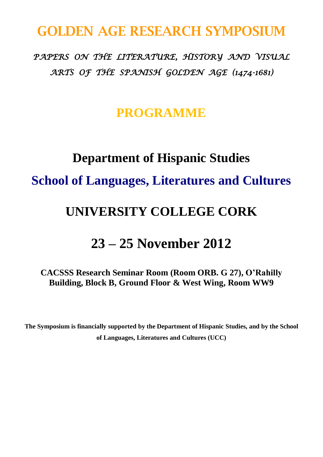### **GOLDEN AGE RESEARCH SYMPOSIUM**

*PAPERS ON THE LITERATURE, HISTORY AND VISUAL ARTS OF THE SPANISH GOLDEN AGE (1474-1681)* 

#### **PROGRAMME**

# **Department of Hispanic Studies School of Languages, Literatures and Cultures**

### **UNIVERSITY COLLEGE CORK**

### **23 – 25 November 2012**

**CACSSS Research Seminar Room (Room ORB. G 27), O'Rahilly Building, Block B, Ground Floor & West Wing, Room WW9**

**The Symposium is financially supported by the Department of Hispanic Studies, and by the School of Languages, Literatures and Cultures (UCC)**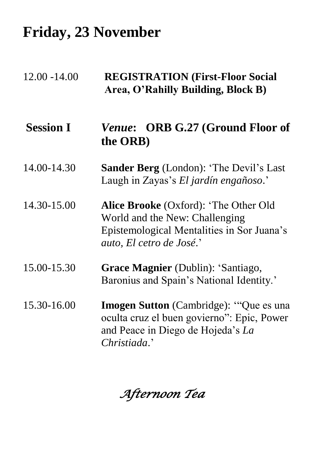## **Friday, 23 November**

| $12.00 - 14.00$  | <b>REGISTRATION (First-Floor Social</b><br>Area, O'Rahilly Building, Block B)                                                                            |
|------------------|----------------------------------------------------------------------------------------------------------------------------------------------------------|
| <b>Session I</b> | <i>Venue:</i> ORB G.27 (Ground Floor of<br>the ORB)                                                                                                      |
| 14.00-14.30      | <b>Sander Berg</b> (London): 'The Devil's Last<br>Laugh in Zayas's El jardín engañoso.'                                                                  |
| 14.30-15.00      | <b>Alice Brooke</b> (Oxford): 'The Other Old<br>World and the New: Challenging<br>Epistemological Mentalities in Sor Juana's<br>auto, El cetro de José.' |
| 15.00-15.30      | Grace Magnier (Dublin): 'Santiago,<br>Baronius and Spain's National Identity.'                                                                           |
| 15.30-16.00      | <b>Imogen Sutton</b> (Cambridge): "Que es una<br>oculta cruz el buen govierno": Epic, Power<br>and Peace in Diego de Hojeda's La<br>Christiada.'         |

*Afternoon Tea*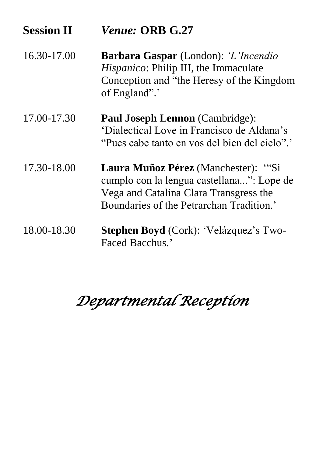| <b>Session II</b> | Venue: ORB G.27                                                                                                                                                        |
|-------------------|------------------------------------------------------------------------------------------------------------------------------------------------------------------------|
| 16.30-17.00       | <b>Barbara Gaspar</b> (London): 'L'Incendio<br>Hispanico: Philip III, the Immaculate<br>Conception and "the Heresy of the Kingdom<br>of England".                      |
| 17.00-17.30       | <b>Paul Joseph Lennon</b> (Cambridge):<br>'Dialectical Love in Francisco de Aldana's<br>"Pues cabe tanto en vos del bien del cielo"."                                  |
| 17.30-18.00       | Laura Muñoz Pérez (Manchester): "Si<br>cumplo con la lengua castellana": Lope de<br>Vega and Catalina Clara Transgress the<br>Boundaries of the Petrarchan Tradition.' |
| 18.00-18.30       | Stephen Boyd (Cork): 'Velázquez's Two-<br>Faced Bacchus.'                                                                                                              |

# *Departmental Reception*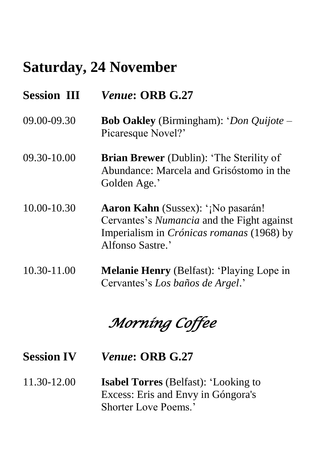## **Saturday, 24 November**

| <b>Session III</b> | <i>Venue: ORB G.27</i>                                                                                                                                   |
|--------------------|----------------------------------------------------------------------------------------------------------------------------------------------------------|
| 09.00-09.30        | <b>Bob Oakley</b> (Birmingham): ' <i>Don Quijote</i> –<br>Picaresque Novel?'                                                                             |
| 09.30-10.00        | <b>Brian Brewer</b> (Dublin): 'The Sterility of<br>Abundance: Marcela and Grisóstomo in the<br>Golden Age.'                                              |
| 10.00-10.30        | Aaron Kahn (Sussex): '¡No pasarán!<br>Cervantes's Numancia and the Fight against<br>Imperialism in <i>Crónicas romanas</i> (1968) by<br>Alfonso Sastre.' |
| 10.30-11.00        | <b>Melanie Henry</b> (Belfast): 'Playing Lope in<br>Cervantes's Los baños de Argel.'                                                                     |

*Morning Coffee* 

**Session IV** *Venue***: ORB G.27**

11.30-12.00 **Isabel Torres** (Belfast): "Looking to Excess: Eris and Envy in Góngora's Shorter Love Poems.'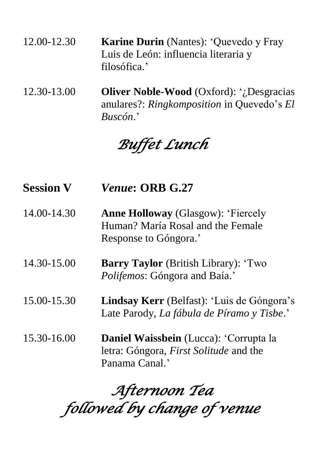| 12.00-12.30 | <b>Karine Durin</b> (Nantes): 'Quevedo y Fray |
|-------------|-----------------------------------------------|
|             | Luis de León: influencia literaria y          |
|             | filosófica.'                                  |

12.30-13.00 **Oliver Noble-Wood** (Oxford): "¿Desgracias anulares?: *Ringkomposition* in Quevedo"s *El Buscón*."

*Buffet Lunch* 

**Session V** *Venue***: ORB G.27** 14.00-14.30 **Anne Holloway** (Glasgow): "Fiercely Human? María Rosal and the Female Response to Góngora.' 14.30-15.00 **Barry Taylor** (British Library): "Two *Polifemos*: Góngora and Baía." 15.00-15.30 **Lindsay Kerr** (Belfast): "Luis de Góngora"s Late Parody, *La fábula de Píramo y Tisbe*." 15.30-16.00 **Daniel Waissbein** (Lucca): "Corrupta la letra: Góngora, *First Solitude* and the Panama Canal."

*Afternoon Tea followed by change of venue*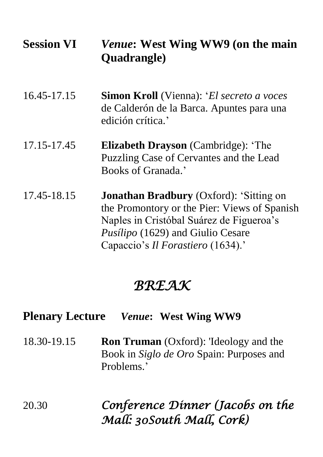| <b>Session VI</b> | <i>Venue</i> : West Wing WW9 (on the main<br><b>Quadrangle</b> )                                                                                                                                                            |
|-------------------|-----------------------------------------------------------------------------------------------------------------------------------------------------------------------------------------------------------------------------|
| 16.45-17.15       | <b>Simon Kroll</b> (Vienna): ' <i>El secreto a voces</i><br>de Calderón de la Barca. Apuntes para una<br>edición crítica.'                                                                                                  |
| 17.15-17.45       | <b>Elizabeth Drayson</b> (Cambridge): 'The<br>Puzzling Case of Cervantes and the Lead<br>Books of Granada.'                                                                                                                 |
| 17.45-18.15       | <b>Jonathan Bradbury</b> (Oxford): 'Sitting on<br>the Promontory or the Pier: Views of Spanish<br>Naples in Cristóbal Suárez de Figueroa's<br><i>Pusílipo</i> (1629) and Giulio Cesare<br>Capaccio's Il Forastiero (1634).' |

### *BREAK*

#### **Plenary Lecture** *Venue***: West Wing WW9**

18.30-19.15 **Ron Truman** (Oxford): 'Ideology and the Book in *Siglo de Oro* Spain: Purposes and Problems<sup>'</sup>

20.30 *Conference Dinner (Jacobs on the Mall: 30South Mall, Cork)*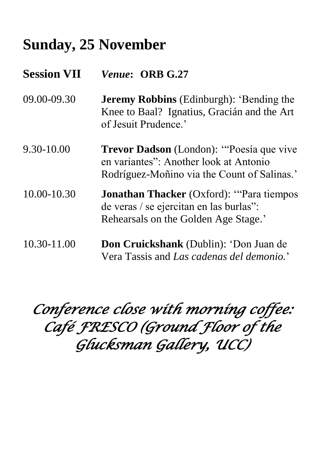## **Sunday, 25 November**

**Session VII** *Venue***: ORB G.27** 09.00-09.30 **Jeremy Robbins** (Edinburgh): "Bending the Knee to Baal? Ignatius, Gracián and the Art of Jesuit Prudence." 9.30-10.00 **Trevor Dadson** (London): ""Poesía que vive en variantes": Another look at Antonio Rodríguez-Moñino via the Count of Salinas." 10.00-10.30 **Jonathan Thacker** (Oxford): ""Para tiempos de veras / se ejercitan en las burlas": Rehearsals on the Golden Age Stage.' 10.30-11.00 **Don Cruickshank** (Dublin): "Don Juan de Vera Tassis and *Las cadenas del demonio.*"

*Conference close with morning coffee: Café FRESCO (Ground Floor of the Glucksman Gallery, UCC)*